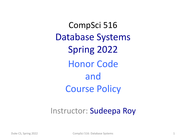CompSci 516 Database Systems Spring 2022 Honor Code and Course Policy

#### Instructor: Sudeepa Roy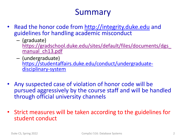#### Summary

- Read the honor code from http://integrity.duke.edu an guidelines for handling academic misconduct
	- (graduate) https://gradschool.duke.edu/sites/default/files/documents manual ch13.pdf
	- (undergraduate) https://studentaffairs.duke.edu/conduct/undergraduate- disciplinary-system
- Any suspected case of violation of honor code will be pursued aggressively by the course staff and will be har through official university channels
- Strict measures will be taken according to the guideline student conduct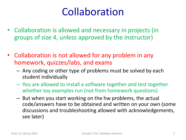## Collaboration

- Collaboration is allowed and necessary in projects (in groups of size 4, unless approved by the instructor)
- Collaboration is not allowed for any problem in any homework, quizzes/labs, and exams
	- Any coding or other type of problems must be solved by each student individually
	- You are allowed to install a software together and test together whether toy examples run (not from homework questions)
	- But when you start working on the hw problems, the actual code/answers have to be obtained and written on your own (some discussions and troubleshooting allowed with acknowledgements, see later)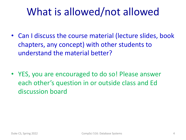- Can I discuss the course material (lecture slides, book chapters, any concept) with other students to understand the material better?
- YES, you are encouraged to do so! Please answer each other's question in or outside class and Ed discussion board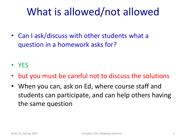• Can I ask/discuss with other students what a question in a homework asks for?

• YES

- but you must be careful not to discuss the solutions
- When you can, ask on Ed, where course staff and students can participate, and can help others having the same question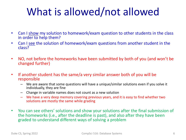- Can I show my solution to homework/exam question to other students in the class in order to help them?
- Can I see the solution of homework/exam questions from another student in the class?
- NO, not before the homeworks have been submitted by both of you (and won't be changed further)
- If another student has the same/a very similar answer both of you will be responsible
	- We are aware that some questions will have a unique/similar solutions even if you solve it individually, they are fine
	- Change in variable names does not count as a new solution
	- We have a very deep memory covering previous years, and it is easy to find whether two solutions are mostly the same while grading
- You can see others' solutions and show your solutions after the final submission of the homeworks (i.e., after the deadline is past), and also after they have been graded to understand different ways of solving a problem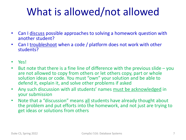- Can I discuss possible approaches to solving a homework question with another student?
- Can I troubleshoot when a code / platform does not work with other students?
- Yes!
- But note that there is a fine line of difference with the previous slide you are not allowed to copy from others or let others copy, part or whole solution ideas or code. You must "own" your solution and be able to defend it, explain it, and solve other problems if asked
- Any such discussion with all students' names must be acknowledged in your submission
- Note that a "discussion" means all students have already thought about the problem and put efforts into the homework, and not just are trying to get ideas or solutions from others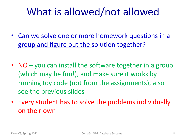- Can we solve one or more homework questions in a group and figure out the solution together?
- NO you can install the software together in a group (which may be fun!), and make sure it works by running toy code (not from the assignments), also see the previous slides
- Every student has to solve the problems individually on their own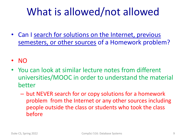- Can I search for solutions on the Internet, previous semesters, or other sources of a Homework problem?
- NO
- You can look at similar lecture notes from different universities/MOOC in order to understand the material better
	- but NEVER search for or copy solutions for a homework problem from the Internet or any other sources including people outside the class or students who took the class before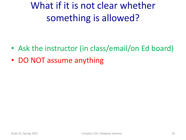## What if it is not clear whether something is allowed?

- Ask the instructor (in class/email/on Ed board)
- DO NOT assume anything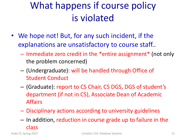#### What happens if course policy is violated

- We hope not! But, for any such incident, if the explanations are unsatisfactory to course staff..
	- Immediate zero credit in the \*entire assignment\* (not only the problem concerned)
	- (Undergraduate): will be handled through Office of Student Conduct
	- (Graduate): report to CS Chair, CS DGS, DGS of student's department (if not in CS), Associate Dean of Academic Affairs
	- Disciplinary actions according to university guidelines
	- In addition, reduction in course grade up to failure in the class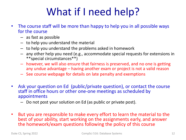# What if I need help?

- The course staff will be more than happy to help you in all possible ways for the course
	- as fast as possible
	- to help you understand the material
	- to help you understand the problems asked in homework
	- any other help you need (e.g., accommodate special requests for extensions in \*\*special circumstances\*\*)
	- however, we will also ensure that fairness is preserved, and no one is getting any undue advantage – having another exam or project is not a valid reason
	- See course webpage for details on late penalty and exemptions
- Ask your question on Ed (public/private question), or contact the course staff in office hours or other one-one meetings as scheduled by appointments
	- Do not post your solution on Ed (as public or private post).
- But you are responsible to make every effort to learn the material to the best of your ability, start working on the assignments early, and answer the homework/exam questions following the policy of this course